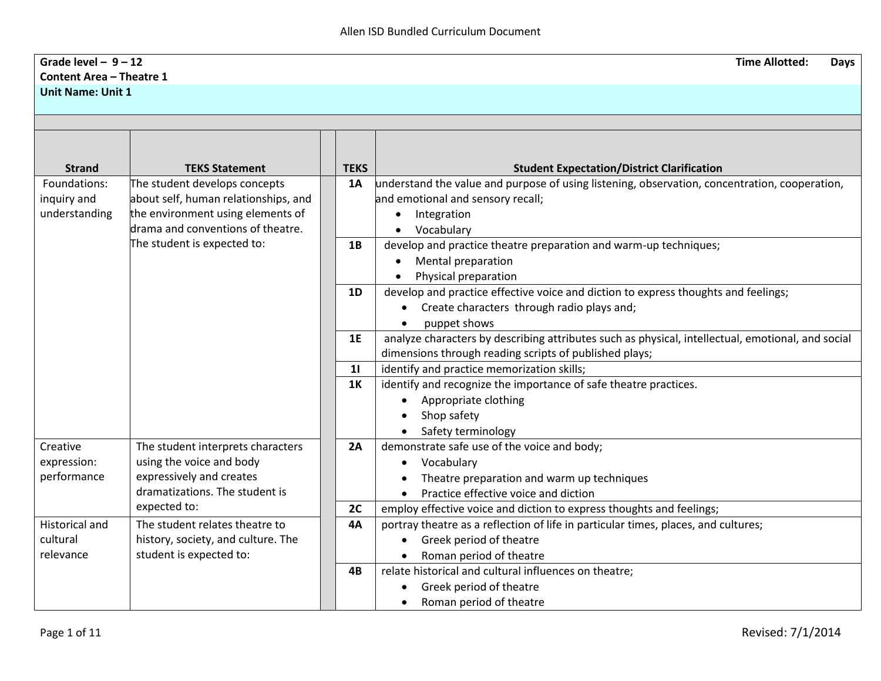## **Grade level – 9 – 12 Time Allotted: Days Content Area – Theatre 1**

## **Unit Name: Unit 1**

| <b>Strand</b>         | <b>TEKS Statement</b>                                                  | <b>TEKS</b> |                                                                                                   |  |  |  |
|-----------------------|------------------------------------------------------------------------|-------------|---------------------------------------------------------------------------------------------------|--|--|--|
| Foundations:          |                                                                        |             | <b>Student Expectation/District Clarification</b>                                                 |  |  |  |
|                       | The student develops concepts                                          | <b>1A</b>   | understand the value and purpose of using listening, observation, concentration, cooperation,     |  |  |  |
| inquiry and           | about self, human relationships, and                                   |             | and emotional and sensory recall;                                                                 |  |  |  |
| understanding         | the environment using elements of<br>drama and conventions of theatre. |             | Integration                                                                                       |  |  |  |
|                       |                                                                        |             | Vocabulary                                                                                        |  |  |  |
|                       | The student is expected to:                                            | 1B          | develop and practice theatre preparation and warm-up techniques;                                  |  |  |  |
|                       |                                                                        |             | Mental preparation                                                                                |  |  |  |
|                       |                                                                        |             | Physical preparation                                                                              |  |  |  |
|                       |                                                                        | 1D          | develop and practice effective voice and diction to express thoughts and feelings;                |  |  |  |
|                       |                                                                        |             | Create characters through radio plays and;                                                        |  |  |  |
|                       |                                                                        |             | puppet shows                                                                                      |  |  |  |
|                       |                                                                        | 1E          | analyze characters by describing attributes such as physical, intellectual, emotional, and social |  |  |  |
|                       |                                                                        |             | dimensions through reading scripts of published plays;                                            |  |  |  |
|                       |                                                                        | 11          | identify and practice memorization skills;                                                        |  |  |  |
|                       |                                                                        | <b>1K</b>   | identify and recognize the importance of safe theatre practices.                                  |  |  |  |
|                       |                                                                        |             | Appropriate clothing                                                                              |  |  |  |
|                       |                                                                        |             | Shop safety                                                                                       |  |  |  |
|                       |                                                                        |             | Safety terminology                                                                                |  |  |  |
| Creative              | The student interprets characters                                      | 2A          | demonstrate safe use of the voice and body;                                                       |  |  |  |
| expression:           | using the voice and body                                               |             | Vocabulary<br>٠                                                                                   |  |  |  |
| performance           | expressively and creates                                               |             | Theatre preparation and warm up techniques                                                        |  |  |  |
|                       | dramatizations. The student is                                         |             | Practice effective voice and diction                                                              |  |  |  |
|                       | expected to:                                                           | 2C          | employ effective voice and diction to express thoughts and feelings;                              |  |  |  |
| <b>Historical and</b> | The student relates theatre to                                         | <b>4A</b>   | portray theatre as a reflection of life in particular times, places, and cultures;                |  |  |  |
| cultural              | history, society, and culture. The                                     |             | Greek period of theatre                                                                           |  |  |  |
| relevance             | student is expected to:                                                |             | Roman period of theatre                                                                           |  |  |  |
|                       |                                                                        | 4B          | relate historical and cultural influences on theatre;                                             |  |  |  |
|                       |                                                                        |             | Greek period of theatre                                                                           |  |  |  |
|                       |                                                                        |             | Roman period of theatre<br>$\bullet$                                                              |  |  |  |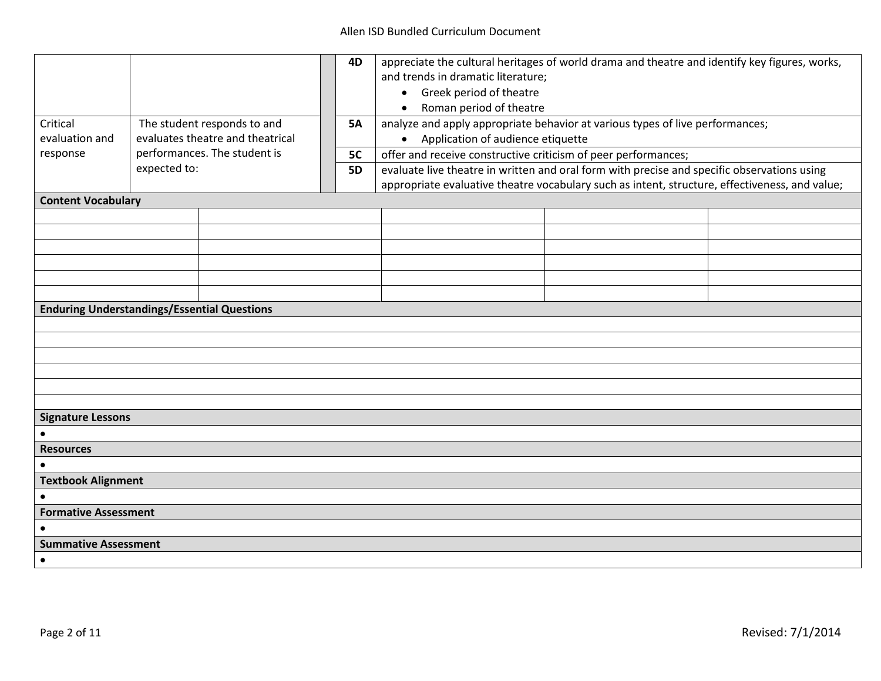#### Allen ISD Bundled Curriculum Document

| Critical<br>evaluation and<br>response<br><b>Content Vocabulary</b> | appreciate the cultural heritages of world drama and theatre and identify key figures, works,<br>4D<br>and trends in dramatic literature;<br>Greek period of theatre<br>$\bullet$<br>Roman period of theatre<br>$\bullet$<br>analyze and apply appropriate behavior at various types of live performances;<br>The student responds to and<br><b>5A</b><br>evaluates theatre and theatrical<br>Application of audience etiquette<br>$\bullet$<br>performances. The student is<br>offer and receive constructive criticism of peer performances;<br>5C<br>expected to:<br>evaluate live theatre in written and oral form with precise and specific observations using<br><b>5D</b><br>appropriate evaluative theatre vocabulary such as intent, structure, effectiveness, and value; |  |  |  |  |
|---------------------------------------------------------------------|------------------------------------------------------------------------------------------------------------------------------------------------------------------------------------------------------------------------------------------------------------------------------------------------------------------------------------------------------------------------------------------------------------------------------------------------------------------------------------------------------------------------------------------------------------------------------------------------------------------------------------------------------------------------------------------------------------------------------------------------------------------------------------|--|--|--|--|
|                                                                     |                                                                                                                                                                                                                                                                                                                                                                                                                                                                                                                                                                                                                                                                                                                                                                                    |  |  |  |  |
|                                                                     |                                                                                                                                                                                                                                                                                                                                                                                                                                                                                                                                                                                                                                                                                                                                                                                    |  |  |  |  |
|                                                                     |                                                                                                                                                                                                                                                                                                                                                                                                                                                                                                                                                                                                                                                                                                                                                                                    |  |  |  |  |
|                                                                     |                                                                                                                                                                                                                                                                                                                                                                                                                                                                                                                                                                                                                                                                                                                                                                                    |  |  |  |  |
|                                                                     |                                                                                                                                                                                                                                                                                                                                                                                                                                                                                                                                                                                                                                                                                                                                                                                    |  |  |  |  |
|                                                                     |                                                                                                                                                                                                                                                                                                                                                                                                                                                                                                                                                                                                                                                                                                                                                                                    |  |  |  |  |
| <b>Enduring Understandings/Essential Questions</b>                  |                                                                                                                                                                                                                                                                                                                                                                                                                                                                                                                                                                                                                                                                                                                                                                                    |  |  |  |  |
|                                                                     |                                                                                                                                                                                                                                                                                                                                                                                                                                                                                                                                                                                                                                                                                                                                                                                    |  |  |  |  |
|                                                                     |                                                                                                                                                                                                                                                                                                                                                                                                                                                                                                                                                                                                                                                                                                                                                                                    |  |  |  |  |
|                                                                     |                                                                                                                                                                                                                                                                                                                                                                                                                                                                                                                                                                                                                                                                                                                                                                                    |  |  |  |  |
|                                                                     |                                                                                                                                                                                                                                                                                                                                                                                                                                                                                                                                                                                                                                                                                                                                                                                    |  |  |  |  |
|                                                                     |                                                                                                                                                                                                                                                                                                                                                                                                                                                                                                                                                                                                                                                                                                                                                                                    |  |  |  |  |
|                                                                     |                                                                                                                                                                                                                                                                                                                                                                                                                                                                                                                                                                                                                                                                                                                                                                                    |  |  |  |  |
| <b>Signature Lessons</b>                                            |                                                                                                                                                                                                                                                                                                                                                                                                                                                                                                                                                                                                                                                                                                                                                                                    |  |  |  |  |
|                                                                     |                                                                                                                                                                                                                                                                                                                                                                                                                                                                                                                                                                                                                                                                                                                                                                                    |  |  |  |  |
| <b>Resources</b>                                                    |                                                                                                                                                                                                                                                                                                                                                                                                                                                                                                                                                                                                                                                                                                                                                                                    |  |  |  |  |
|                                                                     |                                                                                                                                                                                                                                                                                                                                                                                                                                                                                                                                                                                                                                                                                                                                                                                    |  |  |  |  |
| <b>Textbook Alignment</b>                                           |                                                                                                                                                                                                                                                                                                                                                                                                                                                                                                                                                                                                                                                                                                                                                                                    |  |  |  |  |
|                                                                     |                                                                                                                                                                                                                                                                                                                                                                                                                                                                                                                                                                                                                                                                                                                                                                                    |  |  |  |  |
| <b>Formative Assessment</b>                                         |                                                                                                                                                                                                                                                                                                                                                                                                                                                                                                                                                                                                                                                                                                                                                                                    |  |  |  |  |
|                                                                     |                                                                                                                                                                                                                                                                                                                                                                                                                                                                                                                                                                                                                                                                                                                                                                                    |  |  |  |  |
| <b>Summative Assessment</b>                                         |                                                                                                                                                                                                                                                                                                                                                                                                                                                                                                                                                                                                                                                                                                                                                                                    |  |  |  |  |
| $\bullet$                                                           |                                                                                                                                                                                                                                                                                                                                                                                                                                                                                                                                                                                                                                                                                                                                                                                    |  |  |  |  |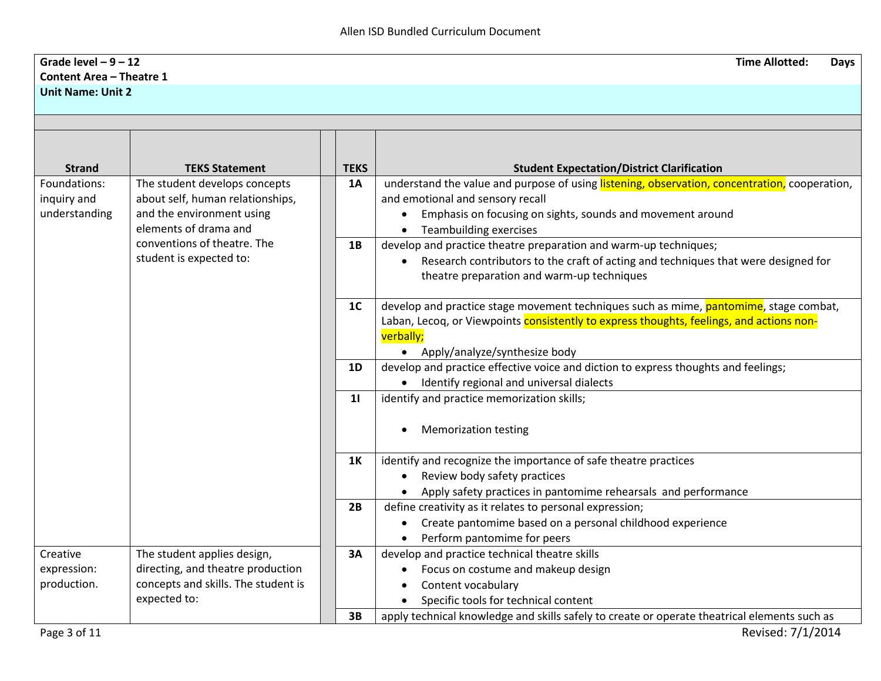# **Grade level – 9 – 12 Time Allotted: Days Content Area – Theatre 1**

| <b>Strand</b> | <b>TEKS Statement</b>               | <b>TEKS</b>    | <b>Student Expectation/District Clarification</b>                                             |
|---------------|-------------------------------------|----------------|-----------------------------------------------------------------------------------------------|
| Foundations:  | The student develops concepts       | 1A             | understand the value and purpose of using listening, observation, concentration, cooperation, |
| inquiry and   | about self, human relationships,    |                | and emotional and sensory recall                                                              |
| understanding | and the environment using           |                | Emphasis on focusing on sights, sounds and movement around                                    |
|               | elements of drama and               |                | <b>Teambuilding exercises</b><br>$\bullet$                                                    |
|               | conventions of theatre. The         | 1B             | develop and practice theatre preparation and warm-up techniques;                              |
|               | student is expected to:             |                | Research contributors to the craft of acting and techniques that were designed for            |
|               |                                     |                | theatre preparation and warm-up techniques                                                    |
|               |                                     | 1 <sub>C</sub> | develop and practice stage movement techniques such as mime, pantomime, stage combat,         |
|               |                                     |                | Laban, Lecoq, or Viewpoints consistently to express thoughts, feelings, and actions non-      |
|               |                                     |                | verbally;                                                                                     |
|               |                                     |                | Apply/analyze/synthesize body<br>$\bullet$                                                    |
|               |                                     | 1D             | develop and practice effective voice and diction to express thoughts and feelings;            |
|               |                                     |                | Identify regional and universal dialects<br>$\bullet$                                         |
|               |                                     | 11             | identify and practice memorization skills;                                                    |
|               |                                     |                |                                                                                               |
|               |                                     |                | <b>Memorization testing</b>                                                                   |
|               |                                     |                |                                                                                               |
|               |                                     | 1K             | identify and recognize the importance of safe theatre practices                               |
|               |                                     |                | Review body safety practices                                                                  |
|               |                                     |                | Apply safety practices in pantomime rehearsals and performance                                |
|               |                                     | 2B             | define creativity as it relates to personal expression;                                       |
|               |                                     |                | Create pantomime based on a personal childhood experience                                     |
|               |                                     |                | Perform pantomime for peers<br>$\bullet$                                                      |
| Creative      | The student applies design,         | 3A             | develop and practice technical theatre skills                                                 |
| expression:   | directing, and theatre production   |                | Focus on costume and makeup design                                                            |
| production.   | concepts and skills. The student is |                | Content vocabulary                                                                            |
|               | expected to:                        |                | Specific tools for technical content                                                          |
|               |                                     | 3B             | apply technical knowledge and skills safely to create or operate theatrical elements such as  |
| Page 3 of 11  |                                     |                | Revised: 7/1/2014                                                                             |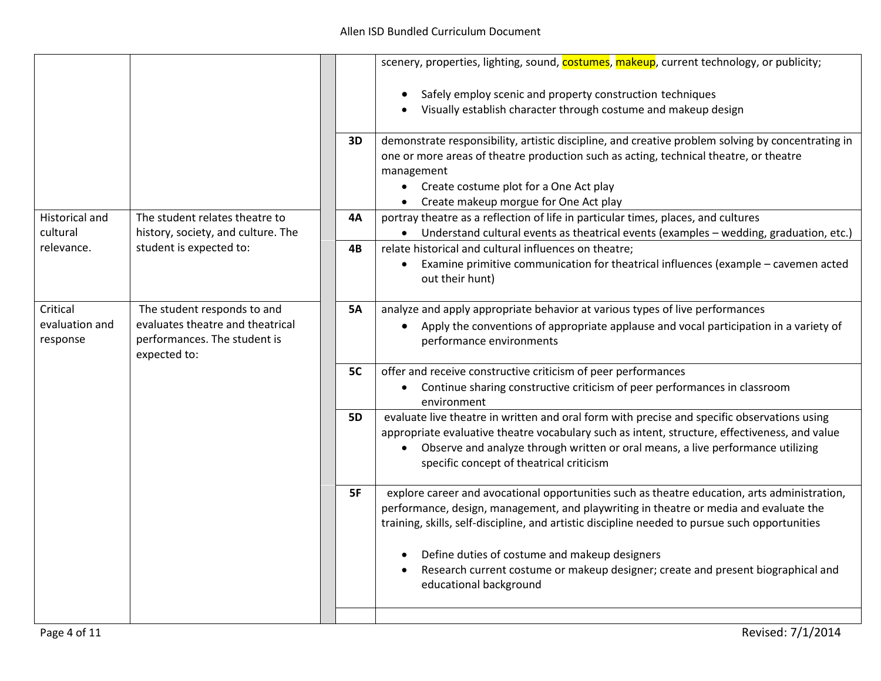|                                        |                                                                                                                 |           | scenery, properties, lighting, sound, costumes, makeup, current technology, or publicity;                                                                                                                                                                                                                                                                                                                                                              |
|----------------------------------------|-----------------------------------------------------------------------------------------------------------------|-----------|--------------------------------------------------------------------------------------------------------------------------------------------------------------------------------------------------------------------------------------------------------------------------------------------------------------------------------------------------------------------------------------------------------------------------------------------------------|
|                                        |                                                                                                                 |           | Safely employ scenic and property construction techniques<br>$\bullet$<br>Visually establish character through costume and makeup design                                                                                                                                                                                                                                                                                                               |
|                                        |                                                                                                                 | 3D        | demonstrate responsibility, artistic discipline, and creative problem solving by concentrating in<br>one or more areas of theatre production such as acting, technical theatre, or theatre<br>management<br>• Create costume plot for a One Act play<br>Create makeup morgue for One Act play                                                                                                                                                          |
| <b>Historical and</b><br>cultural      | The student relates theatre to<br>history, society, and culture. The                                            | <b>4A</b> | portray theatre as a reflection of life in particular times, places, and cultures<br>• Understand cultural events as theatrical events (examples - wedding, graduation, etc.)                                                                                                                                                                                                                                                                          |
| relevance.                             | student is expected to:                                                                                         | 4B        | relate historical and cultural influences on theatre;<br>Examine primitive communication for theatrical influences (example - cavemen acted<br>out their hunt)                                                                                                                                                                                                                                                                                         |
| Critical<br>evaluation and<br>response | The student responds to and<br>evaluates theatre and theatrical<br>performances. The student is<br>expected to: | <b>5A</b> | analyze and apply appropriate behavior at various types of live performances<br>Apply the conventions of appropriate applause and vocal participation in a variety of<br>performance environments                                                                                                                                                                                                                                                      |
|                                        |                                                                                                                 | 5C        | offer and receive constructive criticism of peer performances<br>Continue sharing constructive criticism of peer performances in classroom<br>environment                                                                                                                                                                                                                                                                                              |
|                                        |                                                                                                                 | 5D        | evaluate live theatre in written and oral form with precise and specific observations using<br>appropriate evaluative theatre vocabulary such as intent, structure, effectiveness, and value<br>Observe and analyze through written or oral means, a live performance utilizing<br>$\bullet$<br>specific concept of theatrical criticism                                                                                                               |
|                                        |                                                                                                                 | 5F        | explore career and avocational opportunities such as theatre education, arts administration,<br>performance, design, management, and playwriting in theatre or media and evaluate the<br>training, skills, self-discipline, and artistic discipline needed to pursue such opportunities<br>Define duties of costume and makeup designers<br>Research current costume or makeup designer; create and present biographical and<br>educational background |
|                                        |                                                                                                                 |           |                                                                                                                                                                                                                                                                                                                                                                                                                                                        |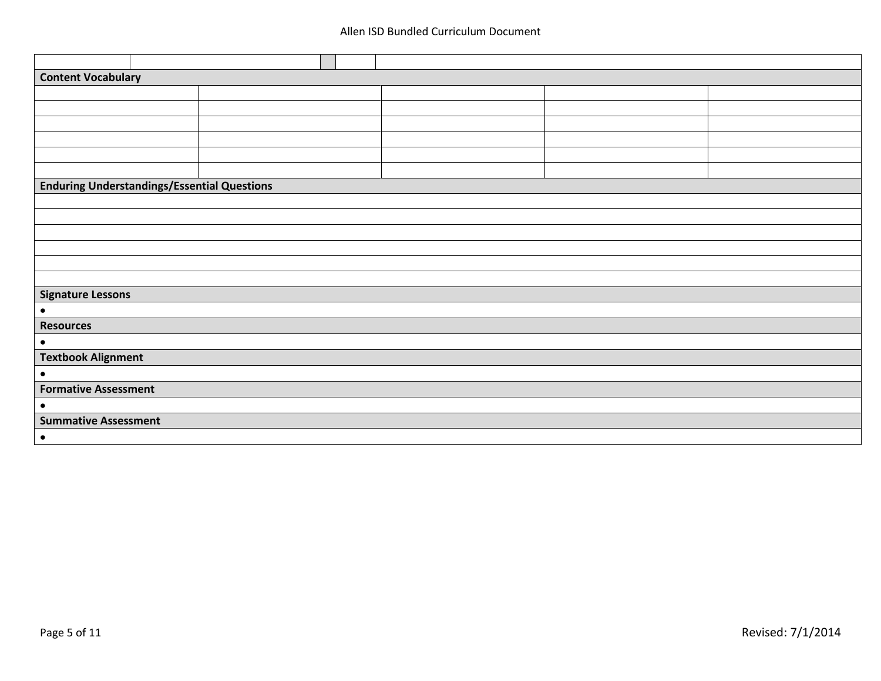| <b>Content Vocabulary</b>                          |  |  |  |  |  |  |  |  |
|----------------------------------------------------|--|--|--|--|--|--|--|--|
|                                                    |  |  |  |  |  |  |  |  |
|                                                    |  |  |  |  |  |  |  |  |
|                                                    |  |  |  |  |  |  |  |  |
|                                                    |  |  |  |  |  |  |  |  |
|                                                    |  |  |  |  |  |  |  |  |
|                                                    |  |  |  |  |  |  |  |  |
| <b>Enduring Understandings/Essential Questions</b> |  |  |  |  |  |  |  |  |
|                                                    |  |  |  |  |  |  |  |  |
|                                                    |  |  |  |  |  |  |  |  |
|                                                    |  |  |  |  |  |  |  |  |
|                                                    |  |  |  |  |  |  |  |  |
|                                                    |  |  |  |  |  |  |  |  |
|                                                    |  |  |  |  |  |  |  |  |
| <b>Signature Lessons</b>                           |  |  |  |  |  |  |  |  |
| $\bullet$                                          |  |  |  |  |  |  |  |  |
| <b>Resources</b>                                   |  |  |  |  |  |  |  |  |
| $\bullet$                                          |  |  |  |  |  |  |  |  |
| <b>Textbook Alignment</b>                          |  |  |  |  |  |  |  |  |
| $\bullet$                                          |  |  |  |  |  |  |  |  |
| <b>Formative Assessment</b>                        |  |  |  |  |  |  |  |  |
| $\bullet$                                          |  |  |  |  |  |  |  |  |
| <b>Summative Assessment</b>                        |  |  |  |  |  |  |  |  |
| $\bullet$                                          |  |  |  |  |  |  |  |  |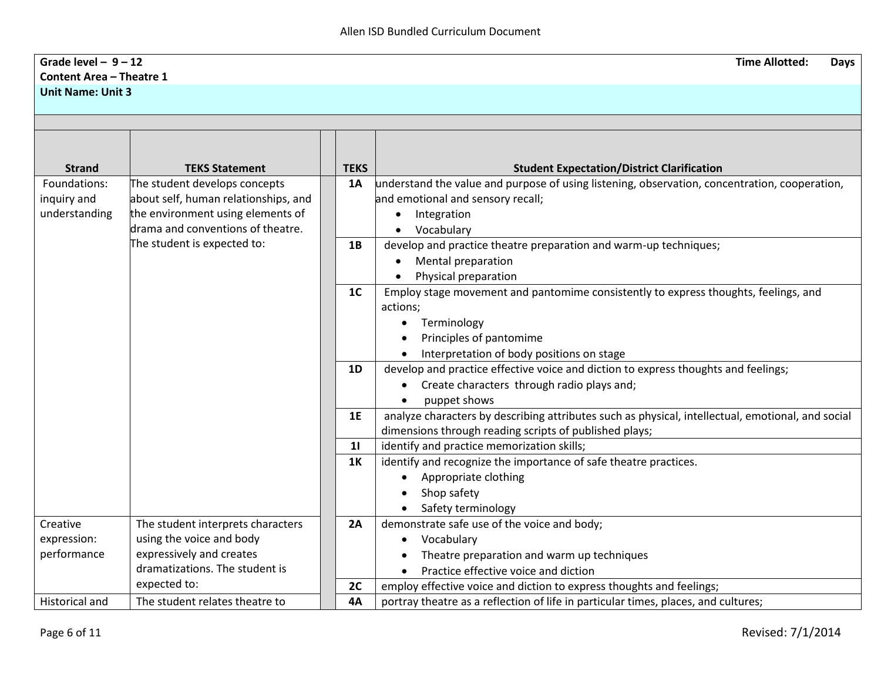## **Grade level – 9 – 12 Time Allotted: Days Content Area – Theatre 1**

**Unit Name: Unit 3**

| <b>Strand</b>         | <b>TEKS Statement</b>                | <b>TEKS</b>    | <b>Student Expectation/District Clarification</b>                                                                                                           |
|-----------------------|--------------------------------------|----------------|-------------------------------------------------------------------------------------------------------------------------------------------------------------|
| Foundations:          | The student develops concepts        | 1A             | understand the value and purpose of using listening, observation, concentration, cooperation,                                                               |
| inquiry and           | about self, human relationships, and |                | and emotional and sensory recall;                                                                                                                           |
| understanding         | the environment using elements of    |                | Integration                                                                                                                                                 |
|                       | drama and conventions of theatre.    |                | Vocabulary                                                                                                                                                  |
|                       | The student is expected to:          | 1B             | develop and practice theatre preparation and warm-up techniques;                                                                                            |
|                       |                                      |                | Mental preparation                                                                                                                                          |
|                       |                                      |                | Physical preparation                                                                                                                                        |
|                       |                                      | 1 <sub>C</sub> | Employ stage movement and pantomime consistently to express thoughts, feelings, and<br>actions;                                                             |
|                       |                                      |                | Terminology                                                                                                                                                 |
|                       |                                      |                | Principles of pantomime                                                                                                                                     |
|                       |                                      |                | Interpretation of body positions on stage                                                                                                                   |
|                       |                                      | <b>1D</b>      | develop and practice effective voice and diction to express thoughts and feelings;                                                                          |
|                       |                                      |                | Create characters through radio plays and;                                                                                                                  |
|                       |                                      |                | puppet shows                                                                                                                                                |
|                       |                                      | <b>1E</b>      | analyze characters by describing attributes such as physical, intellectual, emotional, and social<br>dimensions through reading scripts of published plays; |
|                       |                                      | 11             | identify and practice memorization skills;                                                                                                                  |
|                       |                                      | <b>1K</b>      | identify and recognize the importance of safe theatre practices.                                                                                            |
|                       |                                      |                | Appropriate clothing                                                                                                                                        |
|                       |                                      |                | Shop safety                                                                                                                                                 |
|                       |                                      |                | Safety terminology                                                                                                                                          |
| Creative              | The student interprets characters    | 2A             | demonstrate safe use of the voice and body;                                                                                                                 |
| expression:           | using the voice and body             |                | Vocabulary                                                                                                                                                  |
| performance           | expressively and creates             |                | Theatre preparation and warm up techniques                                                                                                                  |
|                       | dramatizations. The student is       |                | Practice effective voice and diction                                                                                                                        |
|                       | expected to:                         | 2C             | employ effective voice and diction to express thoughts and feelings;                                                                                        |
| <b>Historical and</b> | The student relates theatre to       | <b>4A</b>      | portray theatre as a reflection of life in particular times, places, and cultures;                                                                          |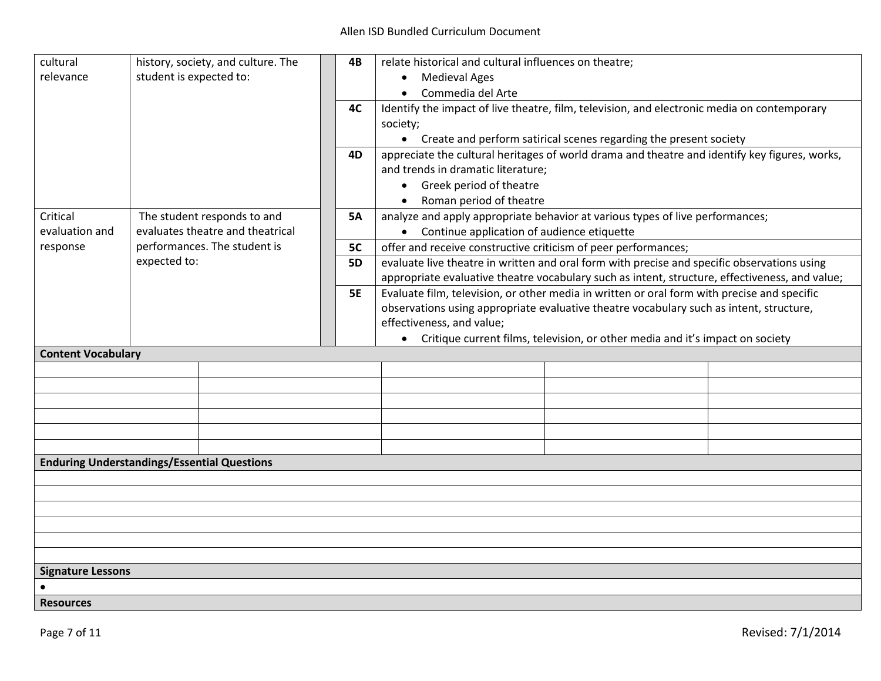### Allen ISD Bundled Curriculum Document

| cultural<br>history, society, and culture. The<br>student is expected to:<br>relevance |                                                    | 4B              | relate historical and cultural influences on theatre;<br><b>Medieval Ages</b><br>$\bullet$<br>Commedia del Arte<br>$\bullet$                                                                                                                                                                           |  |  |  |
|----------------------------------------------------------------------------------------|----------------------------------------------------|-----------------|--------------------------------------------------------------------------------------------------------------------------------------------------------------------------------------------------------------------------------------------------------------------------------------------------------|--|--|--|
|                                                                                        |                                                    | 4C              | Identify the impact of live theatre, film, television, and electronic media on contemporary<br>society;<br>• Create and perform satirical scenes regarding the present society                                                                                                                         |  |  |  |
|                                                                                        |                                                    | 4D              | appreciate the cultural heritages of world drama and theatre and identify key figures, works,<br>and trends in dramatic literature;<br>Greek period of theatre<br>$\bullet$<br>Roman period of theatre                                                                                                 |  |  |  |
| Critical                                                                               | The student responds to and                        |                 | analyze and apply appropriate behavior at various types of live performances;                                                                                                                                                                                                                          |  |  |  |
| evaluation and                                                                         | evaluates theatre and theatrical                   |                 | Continue application of audience etiquette<br>$\bullet$                                                                                                                                                                                                                                                |  |  |  |
| response                                                                               | performances. The student is                       | 5C<br><b>5D</b> | offer and receive constructive criticism of peer performances;                                                                                                                                                                                                                                         |  |  |  |
|                                                                                        | expected to:                                       |                 | evaluate live theatre in written and oral form with precise and specific observations using<br>appropriate evaluative theatre vocabulary such as intent, structure, effectiveness, and value;                                                                                                          |  |  |  |
|                                                                                        |                                                    |                 | Evaluate film, television, or other media in written or oral form with precise and specific<br>observations using appropriate evaluative theatre vocabulary such as intent, structure,<br>effectiveness, and value;<br>• Critique current films, television, or other media and it's impact on society |  |  |  |
| <b>Content Vocabulary</b>                                                              |                                                    |                 |                                                                                                                                                                                                                                                                                                        |  |  |  |
|                                                                                        |                                                    |                 |                                                                                                                                                                                                                                                                                                        |  |  |  |
|                                                                                        |                                                    |                 |                                                                                                                                                                                                                                                                                                        |  |  |  |
|                                                                                        |                                                    |                 |                                                                                                                                                                                                                                                                                                        |  |  |  |
|                                                                                        |                                                    |                 |                                                                                                                                                                                                                                                                                                        |  |  |  |
|                                                                                        |                                                    |                 |                                                                                                                                                                                                                                                                                                        |  |  |  |
|                                                                                        |                                                    |                 |                                                                                                                                                                                                                                                                                                        |  |  |  |
|                                                                                        | <b>Enduring Understandings/Essential Questions</b> |                 |                                                                                                                                                                                                                                                                                                        |  |  |  |
|                                                                                        |                                                    |                 |                                                                                                                                                                                                                                                                                                        |  |  |  |
|                                                                                        |                                                    |                 |                                                                                                                                                                                                                                                                                                        |  |  |  |
|                                                                                        |                                                    |                 |                                                                                                                                                                                                                                                                                                        |  |  |  |
|                                                                                        |                                                    |                 |                                                                                                                                                                                                                                                                                                        |  |  |  |
|                                                                                        |                                                    |                 |                                                                                                                                                                                                                                                                                                        |  |  |  |
| <b>Signature Lessons</b>                                                               |                                                    |                 |                                                                                                                                                                                                                                                                                                        |  |  |  |
|                                                                                        |                                                    |                 |                                                                                                                                                                                                                                                                                                        |  |  |  |
| <b>Resources</b>                                                                       |                                                    |                 |                                                                                                                                                                                                                                                                                                        |  |  |  |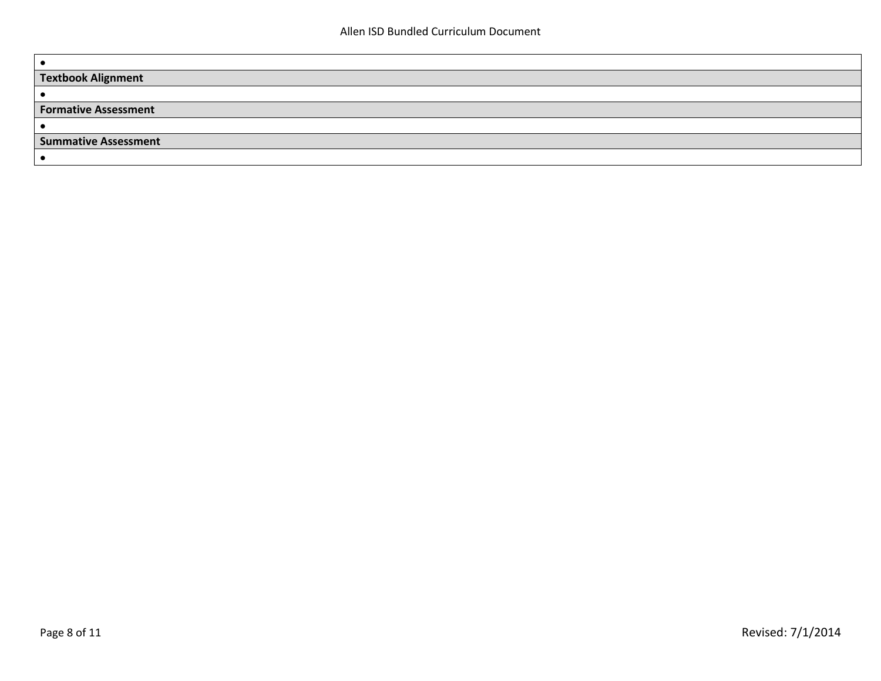| <b>Textbook Alignment</b>   |
|-----------------------------|
|                             |
| <b>Formative Assessment</b> |
|                             |
| <b>Summative Assessment</b> |
|                             |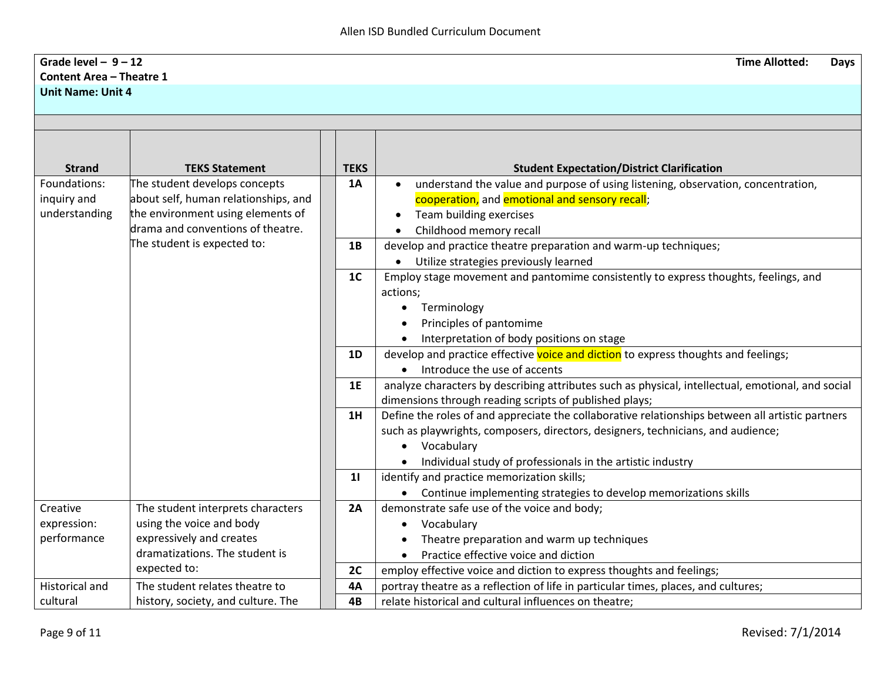#### **Grade level – 9 – 12 Time Allotted: Days Content Area – Theatre 1 Unit Name: Unit 4 Strand TEKS Statement TEKS Student Expectation/District Clarification** Foundations: inquiry and understanding The student develops concepts about self, human relationships, and the environment using elements of drama and conventions of theatre. The student is expected to: **1A**  $\bullet$  understand the value and purpose of using listening, observation, concentration, cooperation, and emotional and sensory recall; Team building exercises Childhood memory recall **1B** develop and practice theatre preparation and warm-up techniques; Utilize strategies previously learned **1C** Employ stage movement and pantomime consistently to express thoughts, feelings, and actions; • Terminology Principles of pantomime • Interpretation of body positions on stage **1D** develop and practice effective voice and diction to express thoughts and feelings; • Introduce the use of accents **1E** analyze characters by describing attributes such as physical, intellectual, emotional, and social dimensions through reading scripts of published plays; **1H** Define the roles of and appreciate the collaborative relationships between all artistic partners such as playwrights, composers, directors, designers, technicians, and audience; Vocabulary • Individual study of professionals in the artistic industry 1**I** | identify and practice memorization skills; Continue implementing strategies to develop memorizations skills Creative expression: performance The student interprets characters using the voice and body expressively and creates dramatizations. The student is expected to: **2A** demonstrate safe use of the voice and body; Vocabulary Theatre preparation and warm up techniques • Practice effective voice and diction **2C** employ effective voice and diction to express thoughts and feelings; Historical and cultural The student relates theatre to history, society, and culture. The **4A** portray theatre as a reflection of life in particular times, places, and cultures; **4B**  $\parallel$  relate historical and cultural influences on theatre: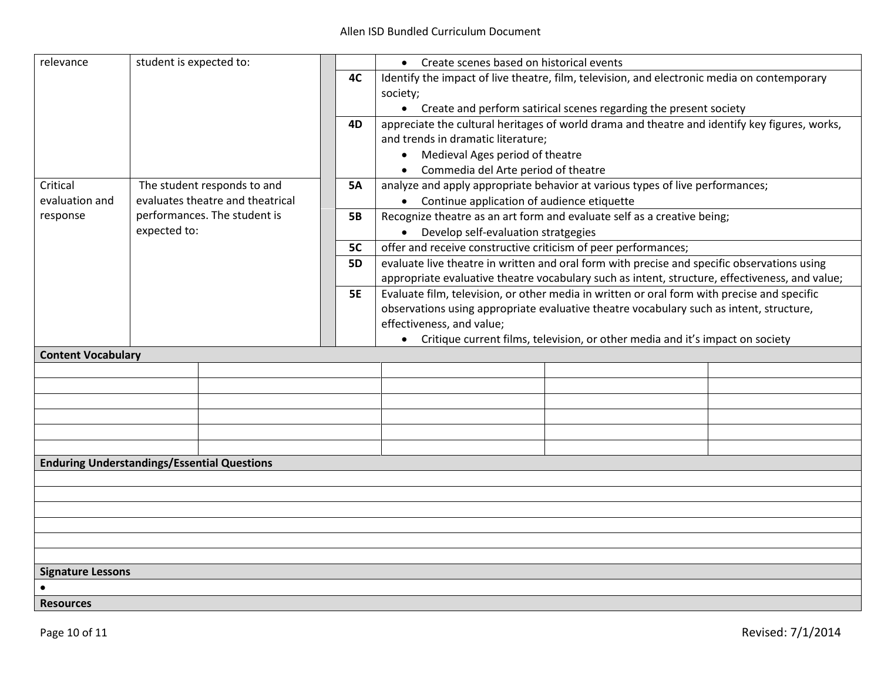| relevance                                          | student is expected to: |                                                                                         |                                                                                                | • Create scenes based on historical events                                                    |  |  |  |
|----------------------------------------------------|-------------------------|-----------------------------------------------------------------------------------------|------------------------------------------------------------------------------------------------|-----------------------------------------------------------------------------------------------|--|--|--|
| 4C                                                 |                         |                                                                                         | Identify the impact of live theatre, film, television, and electronic media on contemporary    |                                                                                               |  |  |  |
|                                                    |                         |                                                                                         | society;                                                                                       |                                                                                               |  |  |  |
|                                                    |                         |                                                                                         |                                                                                                | • Create and perform satirical scenes regarding the present society                           |  |  |  |
|                                                    |                         |                                                                                         | 4D                                                                                             | appreciate the cultural heritages of world drama and theatre and identify key figures, works, |  |  |  |
|                                                    |                         |                                                                                         |                                                                                                | and trends in dramatic literature;                                                            |  |  |  |
|                                                    |                         |                                                                                         |                                                                                                | • Medieval Ages period of theatre                                                             |  |  |  |
|                                                    |                         |                                                                                         |                                                                                                | Commedia del Arte period of theatre                                                           |  |  |  |
| Critical                                           |                         | The student responds to and                                                             | <b>5A</b>                                                                                      | analyze and apply appropriate behavior at various types of live performances;                 |  |  |  |
| evaluation and                                     |                         | evaluates theatre and theatrical                                                        |                                                                                                | Continue application of audience etiquette                                                    |  |  |  |
| response                                           |                         | performances. The student is                                                            | <b>5B</b>                                                                                      | Recognize theatre as an art form and evaluate self as a creative being;                       |  |  |  |
|                                                    | expected to:            |                                                                                         |                                                                                                | • Develop self-evaluation stratgegies                                                         |  |  |  |
|                                                    |                         |                                                                                         | <b>5C</b>                                                                                      | offer and receive constructive criticism of peer performances;                                |  |  |  |
| <b>5D</b><br>5E                                    |                         |                                                                                         | evaluate live theatre in written and oral form with precise and specific observations using    |                                                                                               |  |  |  |
|                                                    |                         |                                                                                         | appropriate evaluative theatre vocabulary such as intent, structure, effectiveness, and value; |                                                                                               |  |  |  |
|                                                    |                         |                                                                                         | Evaluate film, television, or other media in written or oral form with precise and specific    |                                                                                               |  |  |  |
|                                                    |                         | observations using appropriate evaluative theatre vocabulary such as intent, structure, |                                                                                                |                                                                                               |  |  |  |
|                                                    |                         |                                                                                         | effectiveness, and value;                                                                      |                                                                                               |  |  |  |
|                                                    |                         |                                                                                         |                                                                                                | • Critique current films, television, or other media and it's impact on society               |  |  |  |
| <b>Content Vocabulary</b>                          |                         |                                                                                         |                                                                                                |                                                                                               |  |  |  |
|                                                    |                         |                                                                                         |                                                                                                |                                                                                               |  |  |  |
|                                                    |                         |                                                                                         |                                                                                                |                                                                                               |  |  |  |
|                                                    |                         |                                                                                         |                                                                                                |                                                                                               |  |  |  |
|                                                    |                         |                                                                                         |                                                                                                |                                                                                               |  |  |  |
|                                                    |                         |                                                                                         |                                                                                                |                                                                                               |  |  |  |
|                                                    |                         |                                                                                         |                                                                                                |                                                                                               |  |  |  |
| <b>Enduring Understandings/Essential Questions</b> |                         |                                                                                         |                                                                                                |                                                                                               |  |  |  |
|                                                    |                         |                                                                                         |                                                                                                |                                                                                               |  |  |  |
|                                                    |                         |                                                                                         |                                                                                                |                                                                                               |  |  |  |
|                                                    |                         |                                                                                         |                                                                                                |                                                                                               |  |  |  |
|                                                    |                         |                                                                                         |                                                                                                |                                                                                               |  |  |  |
|                                                    |                         |                                                                                         |                                                                                                |                                                                                               |  |  |  |
|                                                    |                         |                                                                                         |                                                                                                |                                                                                               |  |  |  |
| <b>Signature Lessons</b>                           |                         |                                                                                         |                                                                                                |                                                                                               |  |  |  |
|                                                    |                         |                                                                                         |                                                                                                |                                                                                               |  |  |  |
| <b>Resources</b>                                   |                         |                                                                                         |                                                                                                |                                                                                               |  |  |  |